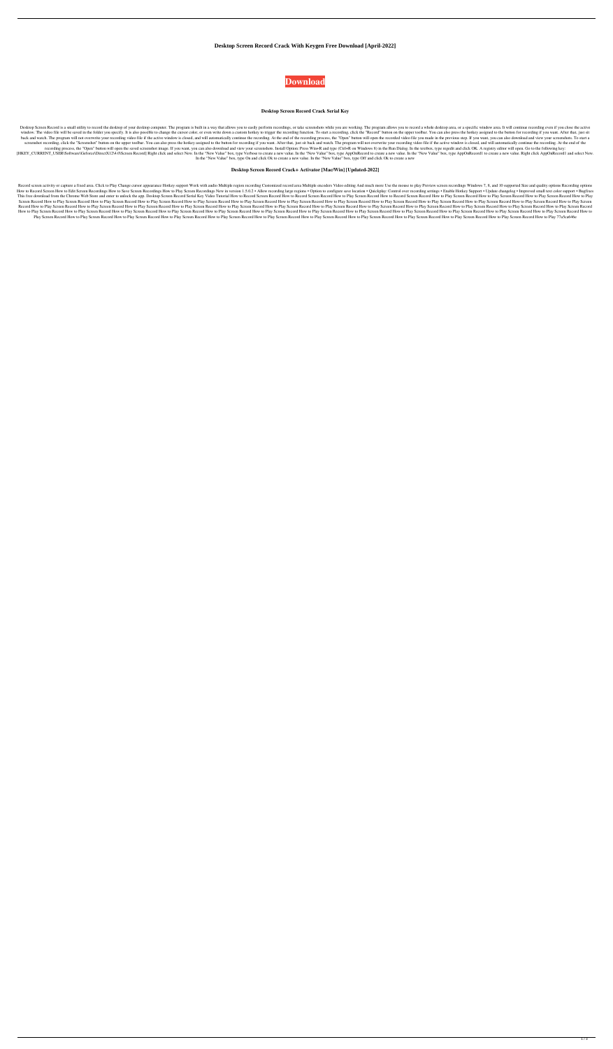**Desktop Screen Record Crack With Keygen Free Download [April-2022]**



## **Desktop Screen Record Crack Serial Key**

Desktop Screen Record is a small utility to record the desktop of your desktop computer. The program is built in a way that allows you to easily perform recordings, or take screenshots while you are working. The program al window. The video file will be saved in the folder you specify. It is also possible to change the cursor color, or even write down a custom hotkey to trigger the recording function. To start a recording, click the "Record" back and watch. The program will not overwrite your recording video file if the active window is closed, and will automatically continue the recording. At the end of the recording process, the "Open" button will open the r screenshot recording, click the "Screenshot" button on the upper toolbar. You can also press the hotkey assigned to the button for recording if you want. After that, just sit back and watch. The program will not overwrite recording process, the "Open" button will open the saved screenshot image. If you want, you can also download and view your screenshots. Install Option: Press Win+R and type (Ctrl+R on Windows 8) in the Run Dialog. In the [HKEY\_CURRENT\_USER\Software\Geforce\DirectX12\4.0\Screen Record] Right click and select New. In the "New Value" box, type Verbose to create a new value. In the "New Value" box, type AppOnRecord to create a new value. In th In the "New Value" box, type On and click Ok to create a new value. In the "New Value" box, type Off and click Ok to create a new

#### **Desktop Screen Record Crack+ Activator [Mac/Win] [Updated-2022]**

Record screen activity or capture a fixed area. Click to Play Change cursor appearance Hotkey support Work with audio Multiple region recording Customized record area Multiple encoders Video editing And much more Use the m How to Record Screen How to Edit Screen Recordings How to Save Screen Recordings How to Play Screen Recordings How to Play Screen Recordings New in version 1.5.0.2 • Allow recording large regions • Option to configure save This free download from the Chrome Web Store and enter to unlock the app. Desktop Screen Record Serial Key Video Tutorial How to Record Screen Record How to Play Screen Record How to Record Screen Record How to Play Screen Screen Record How to Play Screen Record How to Play Screen Record How to Play Screen Record How to Play Screen Record How to Play Screen Record How to Play Screen Record How to Play Screen Record How to Play Screen Record Record How to Play Screen Record How to Play Screen Record How to Play Screen Record How to Play Screen Record How to Play Screen Record How to Play Screen Record How to Play Screen Record How to Play Screen Record How to How to Play Screen Record How to Play Screen Record How to Play Screen Record How to Play Screen Record How to Play Screen Record How to Play Screen Record How to Play Screen Record How to Play Screen Record How to Play Sc Play Screen Record How to Play Screen Record How to Play Screen Record How to Play Screen Record How to Play Screen Record How to Play Screen Record How to Play Screen Record How to Play Screen Record How to Play Screen Re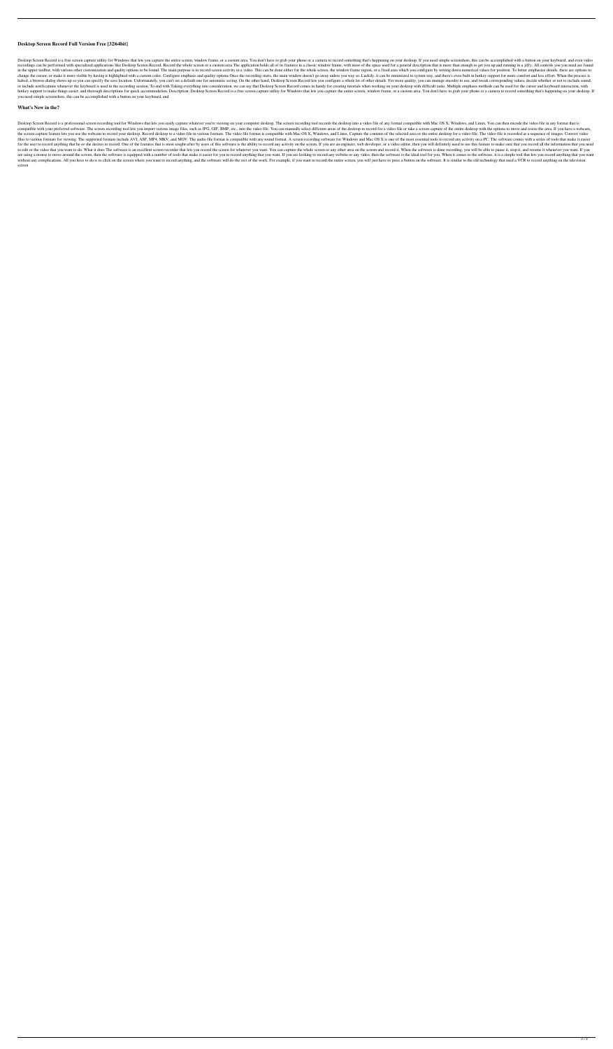#### **Desktop Screen Record Full Version Free [32|64bit]**

Desktop Screen Record is a free screen capture utility for Windows that lets you capture the entire screen, window frame, or a custom area. You don't have to grab your phone or a camera to record something that's happening recordings can be performed with specialized applications like Desktop Screen Record. Record the whole screen or a custom area The application holds all of its features in a classic window frame, with most of the space use in the upper toolbar, with various other customization and quality options to be found. The main purpose is to record screen activity in a video. This can be done either for the whole screen, the window frame region, or a change the cursor, or make it more visible by having it highlighted with a custom color. Configure emphasis and quality options Once the recording starts, the main window doesn't go away unless you way so. Luckily, it can halted, a browse dialog shows up so you can specify the save location. Unfortunately, you can't set a default one for automatic saving. On the other hand, Desktop Screen Record lets you configure a whole lot of other detai or include notifications whenever the keyboard is used in the recording session. To end with Taking everything into consideration, we can say that Desktop Screen Record comes in handy for creating tutorials when working on hotkey support to make things easier, and thorough descriptions for quick accommodation. Description: Desktop Screen Record is a free screen capture utility for Windows that lets you capture the entire screen, window frame you need simple screenshots, this can be accomplished with a button on your keyboard, and

#### **What's New in the?**

Desktop Screen Record is a professional screen recording tool for Windows that lets you easily capture whatever you're viewing on your computer desktop. The screen recording tool records the desktop into a video file of an compatible with your preferred software. The screen recording tool lets you import various image files, such as JPG, GIF, BMP, etc., into the video file. You can manually select different areas of the desktop to record for the screen capture feature lets you use the webcam to record your desktop. Record desktop to a video file in various formats. The video file format is compatible with Mac OS X, Windows, and Linux. Capture the contents of t files to various formats for viewing. The supported formats include AVI, ASF, MP4, MKV, and MOV. The audio file format is compatible with any sound format. A screen recording software for Windows and Mac OS X is one of the for the user to record anything that he or she desires to record. One of the features that is most sought-after by users of this software is the ability to record any activity on the screen. If you are an engineer, web dev to edit or the video that you want to do. What it does The software is an excellent screen recorder that lets you record the screen for whatever you want. You can capture the whole screen or any other area on the software are using a mouse to move around the screen, then the software is equipped with a number of tools that make it easier for you to record anything that you want. If you are looking to record any website or any video, then th without any complications. All you have to do is to click on the screen where you want to record anything, and the software will do the rest of the work. For example, if you want to record the entire screen, you will just screen